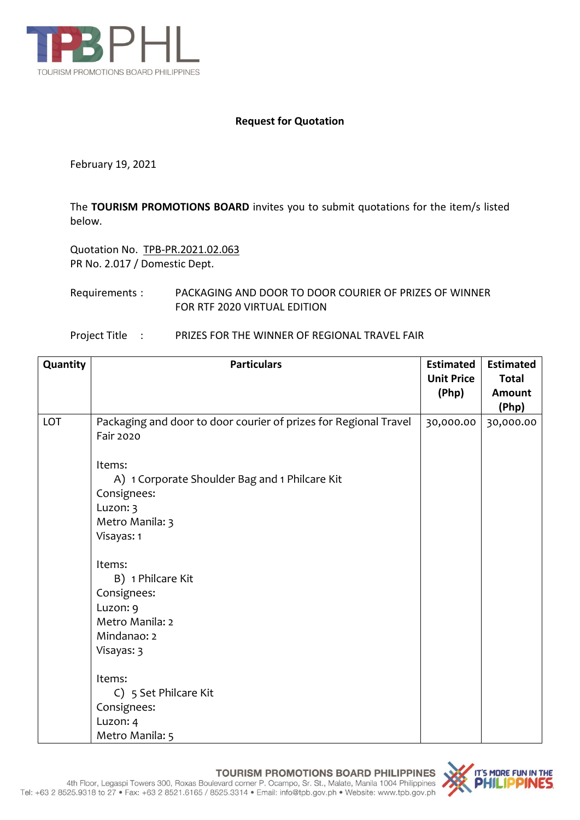

## **Request for Quotation**

February 19, 2021

The **TOURISM PROMOTIONS BOARD** invites you to submit quotations for the item/s listed below.

Quotation No. TPB-PR.2021.02.063 PR No. 2.017 / Domestic Dept.

Requirements : PACKAGING AND DOOR TO DOOR COURIER OF PRIZES OF WINNER FOR RTF 2020 VIRTUAL EDITION

| Project Title | PRIZES FOR THE WINNER OF REGIONAL TRAVEL FAIR |  |
|---------------|-----------------------------------------------|--|
|               |                                               |  |

| Quantity | <b>Particulars</b>                                                            | <b>Estimated</b><br><b>Unit Price</b><br>(Php) | <b>Estimated</b><br><b>Total</b><br><b>Amount</b> |
|----------|-------------------------------------------------------------------------------|------------------------------------------------|---------------------------------------------------|
|          |                                                                               |                                                | (Php)                                             |
| LOT      | Packaging and door to door courier of prizes for Regional Travel<br>Fair 2020 | 30,000.00                                      | 30,000.00                                         |
|          | Items:                                                                        |                                                |                                                   |
|          | A) 1 Corporate Shoulder Bag and 1 Philcare Kit                                |                                                |                                                   |
|          | Consignees:                                                                   |                                                |                                                   |
|          | Luzon: 3                                                                      |                                                |                                                   |
|          | Metro Manila: 3                                                               |                                                |                                                   |
|          | Visayas: 1                                                                    |                                                |                                                   |
|          | Items:                                                                        |                                                |                                                   |
|          | B) 1 Philcare Kit                                                             |                                                |                                                   |
|          | Consignees:                                                                   |                                                |                                                   |
|          | Luzon: 9                                                                      |                                                |                                                   |
|          | Metro Manila: 2                                                               |                                                |                                                   |
|          | Mindanao: 2                                                                   |                                                |                                                   |
|          | Visayas: 3                                                                    |                                                |                                                   |
|          | Items:                                                                        |                                                |                                                   |
|          | C) 5 Set Philcare Kit                                                         |                                                |                                                   |
|          | Consignees:                                                                   |                                                |                                                   |
|          | Luzon: 4                                                                      |                                                |                                                   |
|          | Metro Manila: 5                                                               |                                                |                                                   |

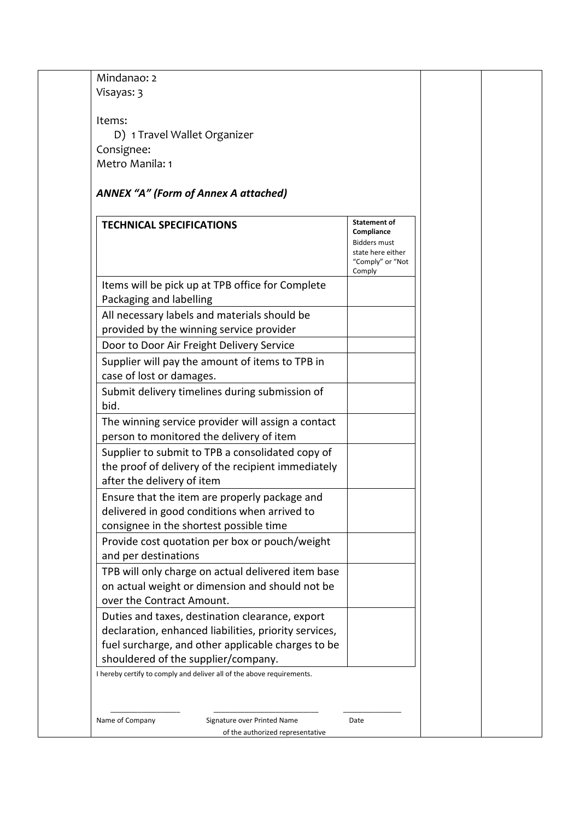| Consignee:                                                                                                                               |                                                                                                             |  |
|------------------------------------------------------------------------------------------------------------------------------------------|-------------------------------------------------------------------------------------------------------------|--|
| Metro Manila: 1                                                                                                                          |                                                                                                             |  |
| <b>ANNEX "A" (Form of Annex A attached)</b>                                                                                              |                                                                                                             |  |
|                                                                                                                                          |                                                                                                             |  |
| <b>TECHNICAL SPECIFICATIONS</b>                                                                                                          | <b>Statement of</b><br>Compliance<br><b>Bidders must</b><br>state here either<br>"Comply" or "Not<br>Comply |  |
| Items will be pick up at TPB office for Complete<br>Packaging and labelling                                                              |                                                                                                             |  |
| All necessary labels and materials should be                                                                                             |                                                                                                             |  |
| provided by the winning service provider                                                                                                 |                                                                                                             |  |
| Door to Door Air Freight Delivery Service<br>Supplier will pay the amount of items to TPB in                                             |                                                                                                             |  |
| case of lost or damages.                                                                                                                 |                                                                                                             |  |
| Submit delivery timelines during submission of<br>bid.                                                                                   |                                                                                                             |  |
| The winning service provider will assign a contact                                                                                       |                                                                                                             |  |
| person to monitored the delivery of item                                                                                                 |                                                                                                             |  |
| Supplier to submit to TPB a consolidated copy of<br>the proof of delivery of the recipient immediately<br>after the delivery of item     |                                                                                                             |  |
| Ensure that the item are properly package and<br>delivered in good conditions when arrived to<br>consignee in the shortest possible time |                                                                                                             |  |
| Provide cost quotation per box or pouch/weight<br>and per destinations                                                                   |                                                                                                             |  |
| TPB will only charge on actual delivered item base<br>on actual weight or dimension and should not be<br>over the Contract Amount.       |                                                                                                             |  |
| Duties and taxes, destination clearance, export                                                                                          |                                                                                                             |  |
| declaration, enhanced liabilities, priority services,                                                                                    |                                                                                                             |  |
| fuel surcharge, and other applicable charges to be<br>shouldered of the supplier/company.                                                |                                                                                                             |  |
|                                                                                                                                          |                                                                                                             |  |